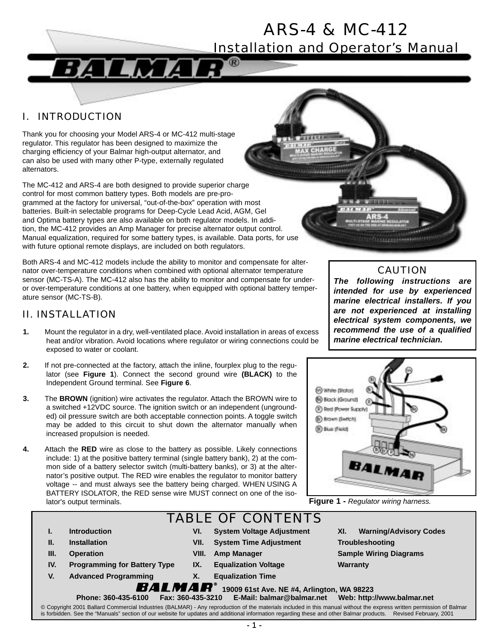# ARS-4 & MC-412

Installation and Operator's Manual

0000000000

### I. INTRODUCTION

Thank you for choosing your Model ARS-4 or MC-412 multi-stage regulator. This regulator has been designed to maximize the charging efficiency of your Balmar high-output alternator, and can also be used with many other P-type, externally regulated alternators.

The MC-412 and ARS-4 are both designed to provide superior charge control for most common battery types. Both models are pre-programmed at the factory for universal, "out-of-the-box" operation with most batteries. Built-in selectable programs for Deep-Cycle Lead Acid, AGM, Gel and Optima battery types are also available on both regulator models. In addition, the MC-412 provides an Amp Manager for precise alternator output control. Manual equalization, required for some battery types, is available. Data ports, for use with future optional remote displays, are included on both regulators.

74

Both ARS-4 and MC-412 models include the ability to monitor and compensate for alternator over-temperature conditions when combined with optional alternator temperature sensor (MC-TS-A). The MC-412 also has the ability to monitor and compensate for underor over-temperature conditions at one battery, when equipped with optional battery temperature sensor (MC-TS-B).

#### II. INSTALLATION

- **1.** Mount the regulator in a dry, well-ventilated place. Avoid installation in areas of excess heat and/or vibration. Avoid locations where regulator or wiring connections could be exposed to water or coolant.
- **2.** If not pre-connected at the factory, attach the inline, fourplex plug to the regulator (see **Figure 1**). Connect the second ground wire **(BLACK)** to the Independent Ground terminal. See **Figure 6**.
- **3.** The **BROWN** (ignition) wire activates the regulator. Attach the BROWN wire to a switched +12VDC source. The ignition switch or an independent (ungrounded) oil pressure switch are both acceptable connection points. A toggle switch may be added to this circuit to shut down the alternator manually when increased propulsion is needed.
- **4.** Attach the **RED** wire as close to the battery as possible. Likely connections include: 1) at the positive battery terminal (single battery bank), 2) at the common side of a battery selector switch (multi-battery banks), or 3) at the alternator's positive output. The RED wire enables the regulator to monitor battery voltage -- and must always see the battery being charged. WHEN USING A BATTERY ISOLATOR, the RED sense wire MUST connect on one of the isolator's output terminals.

# TABLE OF CONTENTS

- **I. Introduction**
- **II. Installation**
- **III. Operation**
- **IV. Programming for Battery Type**
- **V. Advanced Programming**
- **VI. System Voltage Adjustment VII. System Time Adjustment**
	- **VIII. Amp Manager**
	- **IX. Equalization Voltage**

**X. Equalization Time**

- **XI. Warning/Advisory Codes Troubleshooting Sample Wiring Diagrams Warranty**
- !"#\$"%&'**19009 61st Ave. NE #4, Arlington, WA 98223** Phone: 360-435-6100 Fax: 360-435-3210
	-
- © Copyright 2001 Ballard Commercial Industries (BALMAR) Any reproduction of the materials included in this manual without the express written permission of Balmar is forbidden. See the "Manuals" section of our website for updates and additional information regarding these and other Balmar products. Revised February, 2001



**COLORADO ANGELES** 

*The following instructions are intended for use by experienced marine electrical installers. If you are not experienced at installing electrical system components, we recommend the use of a qualified marine electrical technician.*



**Figure 1 -** *Regulator wiring harness.*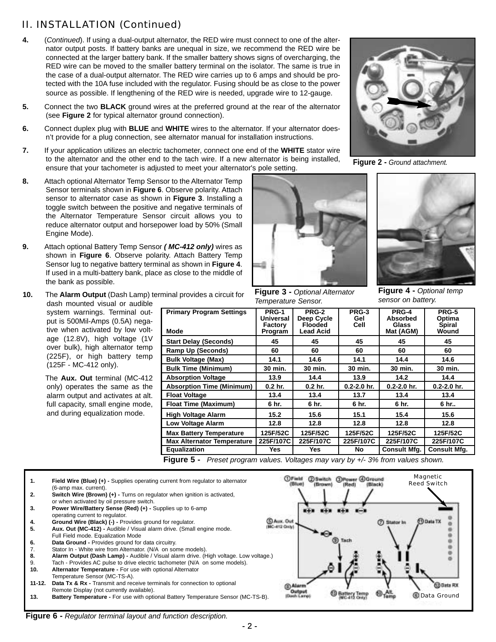## II. INSTALLATION (Continued)

- **4.** (*Continued*). If using a dual-output alternator, the RED wire must connect to one of the alternator output posts. If battery banks are unequal in size, we recommend the RED wire be connected at the larger battery bank. If the smaller battery shows signs of overcharging, the RED wire can be moved to the smaller battery terminal on the isolator. The same is true in the case of a dual-output alternator. The RED wire carries up to 6 amps and should be protected with the 10A fuse included with the regulator. Fusing should be as close to the power source as possible. If lengthening of the RED wire is needed, upgrade wire to 12-gauge.
- **5.** Connect the two **BLACK** ground wires at the preferred ground at the rear of the alternator (see **Figure 2** for typical alternator ground connection).
- **6.** Connect duplex plug with **BLUE** and **WHITE** wires to the alternator. If your alternator doesn't provide for a plug connection, see alternator manual for installation instructions.
- **7.** If your application utilizes an electric tachometer, connect one end of the **WHITE** stator wire to the alternator and the other end to the tach wire. If a new alternator is being installed, ensure that your tachometer is adjusted to meet your alternator's pole setting.
- **8.** Attach optional Alternator Temp Sensor to the Alternator Temp Sensor terminals shown in **Figure 6**. Observe polarity. Attach sensor to alternator case as shown in **Figure 3**. Installing a toggle switch between the positive and negative terminals of the Alternator Temperature Sensor circuit allows you to reduce alternator output and horsepower load by 50% (Small Engine Mode).
- **9.** Attach optional Battery Temp Sensor *( MC-412 only)* wires as shown in **Figure 6**. Observe polarity. Attach Battery Temp Sensor lug to negative battery terminal as shown in **Figure 4**. If used in a multi-battery bank, place as close to the middle of the bank as possible.
- **10.** The **Alarm Output** (Dash Lamp) terminal provides a circuit for dash mounted visual or audible

system warnings. Terminal output is 500Mil-Amps (0.5A) negative when activated by low voltage (12.8V), high voltage (1V over bulk), high alternator temp (225F), or high battery temp (125F - MC-412 only).

The **Aux. Out** terminal (MC-412 only) operates the same as the alarm output and activates at alt. full capacity, small engine mode, and during equalization mode.



**Figure 3 -** *Optional Alternator Temperature Sensor.*



**Figure 2 -** *Ground attachment.*



**Figure 4 -** *Optional temp sensor on battery.*

| <b>Primary Program Settings</b>   | PRG-1<br><b>Universal</b><br>Factory | PRG-2<br>Deep Cycle<br><b>Flooded</b> | PRG-3<br>Gel<br>Cell | PRG-4<br><b>Absorbed</b><br><b>Glass</b> | PRG-5<br>Optima<br><b>Spiral</b> |
|-----------------------------------|--------------------------------------|---------------------------------------|----------------------|------------------------------------------|----------------------------------|
| Mode                              | Program                              | Lead Acid                             |                      | Mat (AGM)                                | Wound                            |
| <b>Start Delay (Seconds)</b>      | 45                                   | 45                                    | 45                   | 45                                       | 45                               |
| Ramp Up (Seconds)                 | 60                                   | 60                                    | 60                   | 60                                       | 60                               |
| <b>Bulk Voltage (Max)</b>         | 14.1                                 | 14.6                                  | 14.1                 | 14.4                                     | 14.6                             |
| <b>Bulk Time (Minimum)</b>        | 30 min.                              | 30 min.                               | 30 min.              | 30 min.                                  | 30 min.                          |
| <b>Absorption Voltage</b>         | 13.9                                 | 14.4                                  | 13.9                 | 14.2                                     | 14.4                             |
| <b>Absorption Time (Minimum)</b>  | 0.2 <sub>hr.</sub>                   | $0.2$ hr.                             | $0.2 - 2.0$ hr.      | $0.2 - 2.0$ hr.                          | $0.2 - 2.0$ hr.                  |
| <b>Float Voltage</b>              | 13.4                                 | 13.4                                  | 13.7                 | 13.4                                     | 13.4                             |
| <b>Float Time (Maximum)</b>       | 6 hr.                                | 6 hr.                                 | 6 hr.                | 6 hr.                                    | 6 hr                             |
| <b>High Voltage Alarm</b>         | 15.2                                 | 15.6                                  | 15.1                 | 15.4                                     | 15.6                             |
| <b>Low Voltage Alarm</b>          | 12.8                                 | 12.8                                  | 12.8                 | 12.8                                     | 12.8                             |
| <b>Max Battery Temperature</b>    | 125F/52C                             | 125F/52C                              | 125F/52C             | 125F/52C                                 | 125F/52C                         |
| <b>Max Alternator Temperature</b> | 225F/107C                            | 225F/107C                             | 225F/107C            | 225F/107C                                | 225F/107C                        |
| Equalization                      | Yes                                  | <b>Yes</b>                            | No.                  | <b>Consult Mfg.</b>                      | <b>Consult Mfg.</b>              |
|                                   |                                      |                                       |                      |                                          |                                  |

**Figure 5 -** *Preset program values. Voltages may vary by +/- 3% from values shown.* 



**Figure 6 -** *Regulator terminal layout and function description.*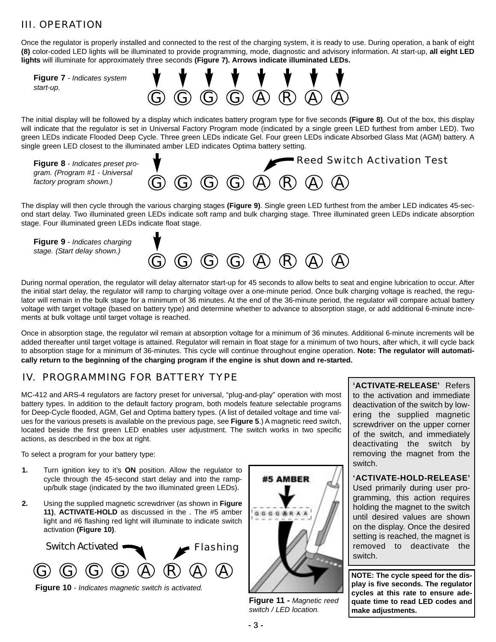### III. OPERATION

Once the regulator is properly installed and connected to the rest of the charging system, it is ready to use. During operation, a bank of eight **(8)** color-coded LED lights will be illuminated to provide programming, mode, diagnostic and advisory information. At start-up, **all eight LED lights** will illuminate for approximately three seconds **(Figure 7). Arrows indicate illuminated LEDs.**



The initial display will be followed by a display which indicates battery program type for five seconds **(Figure 8)**. Out of the box, this display will indicate that the regulator is set in Universal Factory Program mode (indicated by a single green LED furthest from amber LED). Two green LEDs indicate Flooded Deep Cycle. Three green LEDs indicate Gel. Four green LEDs indicate Absorbed Glass Mat (AGM) battery. A single green LED closest to the illuminated amber LED indicates Optima battery setting.



The display will then cycle through the various charging stages **(Figure 9)**. Single green LED furthest from the amber LED indicates 45-second start delay. Two illuminated green LEDs indicate soft ramp and bulk charging stage. Three illuminated green LEDs indicate absorption stage. Four illuminated green LEDs indicate float stage.

**Figure 9** *- Indicates charging stage. (Start delay shown.)*



During normal operation, the regulator will delay alternator start-up for 45 seconds to allow belts to seat and engine lubrication to occur. After the initial start delay, the regulator will ramp to charging voltage over a one-minute period. Once bulk charging voltage is reached, the regulator will remain in the bulk stage for a minimum of 36 minutes. At the end of the 36-minute period, the regulator will compare actual battery voltage with target voltage (based on battery type) and determine whether to advance to absorption stage, or add additional 6-minute increments at bulk voltage until target voltage is reached.

Once in absorption stage, the regulator wil remain at absorption voltage for a minimum of 36 minutes. Additional 6-minute increments will be added thereafter until target voltage is attained. Regulator will remain in float stage for a minimum of two hours, after which, it will cycle back to absorption stage for a minimum of 36-minutes. This cycle will continue throughout engine operation. **Note: The regulator will automatically return to the beginning of the charging program if the engine is shut down and re-started.** 

#### IV. PROGRAMMING FOR BATTERY TYPE

MC-412 and ARS-4 regulators are factory preset for universal, "plug-and-play" operation with most battery types. In addition to the default factory program, both models feature selectable programs for Deep-Cycle flooded, AGM, Gel and Optima battery types. (A list of detailed voltage and time values for the various presets is available on the previous page, see **Figure 5**.) A magnetic reed switch, located beside the first green LED enables user adjustment. The switch works in two specific actions, as described in the box at right.

To select a program for your battery type:

- **1.** Turn ignition key to it's **ON** position. Allow the regulator to cycle through the 45-second start delay and into the rampup/bulk stage (indicated by the two illuminated green LEDs).
- **2.** Using the supplied magnetic screwdriver (as shown in **Figure 11)**, **ACTIVATE-HOLD** as discussed in the . The #5 amber light and #6 flashing red light will illuminate to indicate switch activation **(Figure 10)**.



**Figure 10** *- Indicates magnetic switch is activated.*



**Figure 11 -** *Magnetic reed switch / LED location.* 

**'ACTIVATE-RELEASE'** Refers to the activation and immediate deactivation of the switch by lowering the supplied magnetic screwdriver on the upper corner of the switch, and immediately deactivating the switch by removing the magnet from the switch.

**'ACTIVATE-HOLD-RELEASE'** Used primarily during user programming, this action requires holding the magnet to the switch until desired values are shown on the display. Once the desired setting is reached, the magnet is removed to deactivate the switch.

**NOTE: The cycle speed for the display is five seconds. The regulator cycles at this rate to ensure adequate time to read LED codes and make adjustments.**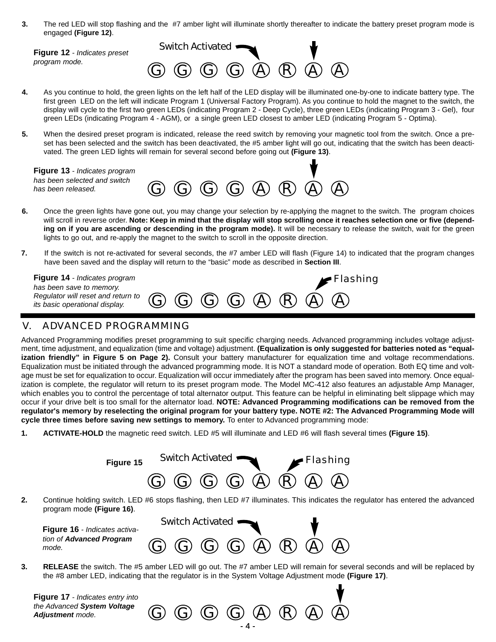**3.** The red LED will stop flashing and the #7 amber light will illuminate shortly thereafter to indicate the battery preset program mode is engaged **(Figure 12)**.

**Figure 12** *- Indicates preset program mode.*



- **4.** As you continue to hold, the green lights on the left half of the LED display will be illuminated one-by-one to indicate battery type. The first green LED on the left will indicate Program 1 (Universal Factory Program). As you continue to hold the magnet to the switch, the display will cycle to the first two green LEDs (indicating Program 2 - Deep Cycle), three green LEDs (indicating Program 3 - Gel), four green LEDs (indicating Program 4 - AGM), or a single green LED closest to amber LED (indicating Program 5 - Optima).
- **5.** When the desired preset program is indicated, release the reed switch by removing your magnetic tool from the switch. Once a preset has been selected and the switch has been deactivated, the #5 amber light will go out, indicating that the switch has been deactivated. The green LED lights will remain for several second before going out **(Figure 13)**.

 $G$   $G$   $G$   $Q$   $A$   $R$   $Q$   $A$ **Figure 13** *- Indicates program has been selected and switch has been released.*

- **6.** Once the green lights have gone out, you may change your selection by re-applying the magnet to the switch. The program choices will scroll in reverse order. **Note: Keep in mind that the display will stop scrolling once it reaches selection one or five (depending on if you are ascending or descending in the program mode).** It will be necessary to release the switch, wait for the green lights to go out, and re-apply the magnet to the switch to scroll in the opposite direction.
- **7.** If the switch is not re-activated for several seconds, the #7 amber LED will flash (Figure 14) to indicated that the program changes have been saved and the display will return to the "basic" mode as described in **Section III**.

| <b>Figure 14</b> - Indicates program<br>has been save to memory.                                                                               |  |  |  | $\blacktriangleright$ Flashing |
|------------------------------------------------------------------------------------------------------------------------------------------------|--|--|--|--------------------------------|
| Regulator will reset and return to $\mathbb G$ $\mathbb G$ $\mathbb G$ $\mathbb G$ $\mathbb G$ $\mathbb A$ $\mathbb R$ $\mathbb G$ $\mathbb G$ |  |  |  |                                |

#### ADVANCED PROGRAMMING

Advanced Programming modifies preset programming to suit specific charging needs. Advanced programming includes voltage adjustment, time adjustment, and equalization (time and voltage) adjustment. **(Equalization is only suggested for batteries noted as "equalization friendly" in Figure 5 on Page 2).** Consult your battery manufacturer for equalization time and voltage recommendations. Equalization must be initiated through the advanced programming mode. It is NOT a standard mode of operation. Both EQ time and voltage must be set for equalization to occur. Equalization will occur immediately after the program has been saved into memory. Once equalization is complete, the regulator will return to its preset program mode. The Model MC-412 also features an adjustable Amp Manager, which enables you to control the percentage of total alternator output. This feature can be helpful in eliminating belt slippage which may occur if your drive belt is too small for the alternator load. **NOTE: Advanced Programming modifications can be removed from the regulator's memory by reselecting the original program for your battery type. NOTE #2: The Advanced Programming Mode will cycle three times before saving new settings to memory.** To enter to Advanced programming mode:

**1. ACTIVATE-HOLD** the magnetic reed switch. LED #5 will illuminate and LED #6 will flash several times **(Figure 15)**.

|    | Switch Activated<br>Flashing<br>Figure 15                                                                                                                                                                                                  |
|----|--------------------------------------------------------------------------------------------------------------------------------------------------------------------------------------------------------------------------------------------|
|    | $\mathbb{G}$<br>. $\left(\mathsf{R}\right)$<br>$\omega$<br>(A)<br>(A)<br>(G)<br>$(\bigodot)$                                                                                                                                               |
| 2. | Continue holding switch. LED #6 stops flashing, then LED #7 illuminates. This indicates the regulator has entered the advanced<br>program mode (Figure 16).                                                                                |
|    | Switch Activated<br><b>Figure 16</b> - Indicates activa-                                                                                                                                                                                   |
|    | tion of Advanced Program<br>$A \otimes R$<br>$G$ $G$<br>(A)<br>mode.                                                                                                                                                                       |
| 3. | <b>RELEASE</b> the switch. The #5 amber LED will go out. The #7 amber LED will remain for several seconds and will be replaced by<br>the #8 amber LED, indicating that the regulator is in the System Voltage Adjustment mode (Figure 17). |

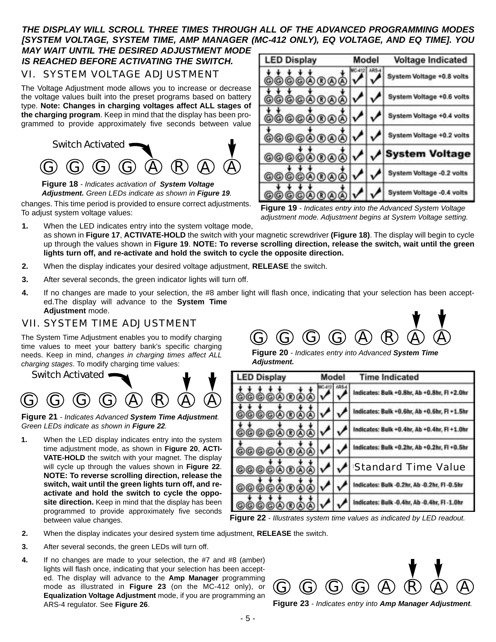#### *THE DISPLAY WILL SCROLL THREE TIMES THROUGH ALL OF THE ADVANCED PROGRAMMING MODES [SYSTEM VOLTAGE, SYSTEM TIME, AMP MANAGER (MC-412 ONLY), EQ VOLTAGE, AND EQ TIME]. YOU MAY WAIT UNTIL THE DESIRED ADJUSTMENT MODE IS REACHED BEFORE ACTIVATING THE SWITCH.*

VI. SYSTEM VOLTAGE ADJUSTMENT

The Voltage Adjustment mode allows you to increase or decrease the voltage values built into the preset programs based on battery type. **Note: Changes in charging voltages affect ALL stages of the charging program**. Keep in mind that the display has been programmed to provide approximately five seconds between value



**Figure 18** *- Indicates activation of System Voltage Adjustment. Green LEDs indicate as shown in Figure 19.*

changes. This time period is provided to ensure correct adjustments. To adjust system voltage values:

**LED Display** Model **Voltage Indicated** System Voltage +0.8 volts (G) (G) ©©A  $R$  $A$ System Voltage +0.6 volts ©©A® System Voltage +0.4 volts ©©0 System Voltage +0.2 volts 6666A  $R(A)$ System Voltage 66 6 G)  $(A)$  $(R)$  $(A)$ System Voltage -0.2 volts 666600a System Voltage -0.4 volts 00 ©0

**Figure 19** *- Indicates entry into the Advanced System Voltage adjustment mode. Adjustment begins at System Voltage setting.*

- **1.** When the LED indicates entry into the system voltage mode, as shown in **Figure 17**, **ACTIVATE-HOLD** the switch with your magnetic screwdriver **(Figure 18)**. The display will begin to cycle up through the values shown in **Figure 19**. **NOTE: To reverse scrolling direction, release the switch, wait until the green lights turn off, and re-activate and hold the switch to cycle the opposite direction.**
- **2.** When the display indicates your desired voltage adjustment, **RELEASE** the switch.
- **3.** After several seconds, the green indicator lights will turn off.
- **4.** If no changes are made to your selection, the #8 amber light will flash once, indicating that your selection has been accepted.The display will advance to the **System Time Adjustment** mode.

#### VII. SYSTEM TIME ADJUSTMENT

The System Time Adjustment enables you to modify charging time values to meet your battery bank's specific charging needs. Keep in mind, *changes in charging times affect ALL charging stages*. To modify charging time values:



**Figure 21** *- Indicates Advanced System Time Adjustment. Green LEDs indicate as shown in Figure 22.*

**1.** When the LED display indicates entry into the system time adjustment mode, as shown in **Figure 20**, **ACTI-VATE-HOLD** the switch with your magnet. The display will cycle up through the values shown in **Figure 22**. **NOTE: To reverse scrolling direction, release the switch, wait until the green lights turn off, and reactivate and hold the switch to cycle the oppo**site direction. Keep in mind that the display has been programmed to provide approximately five seconds between value changes.



**Figure 20** *- Indicates entry into Advanced System Time Adjustment.*



**Figure 22** *- Illustrates system time values as indicated by LED readout.* 

- **2.** When the display indicates your desired system time adjustment, **RELEASE** the switch.
- **3.** After several seconds, the green LEDs will turn off.
- **4.** If no changes are made to your selection, the #7 and #8 (amber) lights will flash once, indicating that your selection has been accepted. The display will advance to the **Amp Manager** programming mode as illustrated in **Figure 23** (on the MC-412 only), or **Equalization Voltage Adjustment** mode, if you are programming an ARS-4 regulator. See **Figure 26**.



**Figure 23** *- Indicates entry into Amp Manager Adjustment.*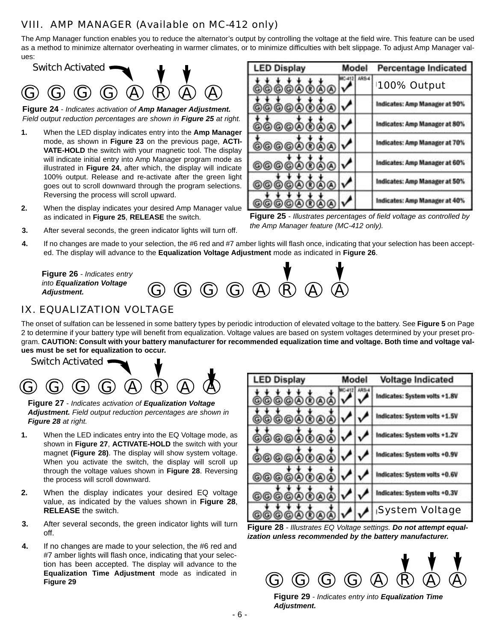## VIII. AMP MANAGER (Available on MC-412 only)

The Amp Manager function enables you to reduce the alternator's output by controlling the voltage at the field wire. This feature can be used as a method to minimize alternator overheating in warmer climates, or to minimize difficulties with belt slippage. To adjust Amp Manager values:



**Figure 24** *- Indicates activation of Amp Manager Adjustment. Field output reduction percentages are shown in Figure 25 at right.*

- **1.** When the LED display indicates entry into the **Amp Manager** mode, as shown in **Figure 23** on the previous page, **ACTI-VATE-HOLD** the switch with your magnetic tool. The display will indicate initial entry into Amp Manager program mode as illustrated in **Figure 24**, after which, the display will indicate 100% output. Release and re-activate after the green light goes out to scroll downward through the program selections. Reversing the process will scroll upward.
- **2.** When the display indicates your desired Amp Manager value as indicated in **Figure 25**, **RELEASE** the switch.

| <b>LED Display</b> | Model       | <b>Percentage Indicated</b>   |
|--------------------|-------------|-------------------------------|
| ෧෨෨෧෨              | <b>ARS4</b> | 100% Output                   |
| <b>0000000</b>     |             | Indicates: Amp Manager at 90% |
| <b>@@@@@@@</b>     |             | Indicates: Amp Manager at 80% |
| ©©©©®®®            |             | Indicates: Amp Manager at 70% |
| <b>©©©©®®@</b>     |             | Indicates: Amp Manager at 60% |
| ®®®                |             | Indicates: Amp Manager at 50% |
|                    |             | Indicates: Amp Manager at 40% |

**Figure 25** *- Illustrates percentages of field voltage as controlled by the Amp Manager feature (MC-412 only).*

- **3.** After several seconds, the green indicator lights will turn off.
- **4.** If no changes are made to your selection, the #6 red and #7 amber lights will flash once, indicating that your selection has been accepted. The display will advance to the **Equalization Voltage Adjustment** mode as indicated in **Figure 26**.



## IX. EQUALIZATION VOLTAGE

The onset of sulfation can be lessened in some battery types by periodic introduction of elevated voltage to the battery. See **Figure 5** on Page 2 to determine if your battery type will benefit from equalization. Voltage values are based on system voltages determined by your preset program. **CAUTION: Consult with your battery manufacturer for recommended equalization time and voltage. Both time and voltage values must be set for equalization to occur.** 

Switch Activated



**Figure 27** *- Indicates activation of Equalization Voltage Adjustment. Field output reduction percentages are shown in Figure 28 at right.*

- **1.** When the LED indicates entry into the EQ Voltage mode, as shown in **Figure 27**, **ACTIVATE-HOLD** the switch with your magnet **(Figure 28)**. The display will show system voltage. When you activate the switch, the display will scroll up through the voltage values shown in **Figure 28**. Reversing the process will scroll downward.
- **2.** When the display indicates your desired EQ voltage value, as indicated by the values shown in **Figure 28**, **RELEASE** the switch.
- **3.** After several seconds, the green indicator lights will turn off.
- **4.** If no changes are made to your selection, the #6 red and #7 amber lights will flash once, indicating that your selection has been accepted. The display will advance to the **Equalization Time Adjustment** mode as indicated in **Figure 29**

| <b>LED Display</b> | Model |  | <b>Voltage Indicated</b>      |
|--------------------|-------|--|-------------------------------|
| 00000000           |       |  | Indicates: System volts +1.8V |
| <u>©©©©©©</u> @    |       |  | Indicates: System volts +1.5V |
| <b>@@@@@@</b>      |       |  | Indicates: System volts +1.2V |
| @@@@@@@            |       |  | Indicates: System volts +0.9V |
| 00000000           |       |  | Indicates: System volts +0.6V |
| <u>©®®@@</u>       |       |  | Indicates: System volts +0.3V |
|                    |       |  | System Voltage                |

**Figure 28** *- Illustrates EQ Voltage settings. Do not attempt equalization unless recommended by the battery manufacturer.*



**Figure 29** *- Indicates entry into Equalization Time Adjustment.*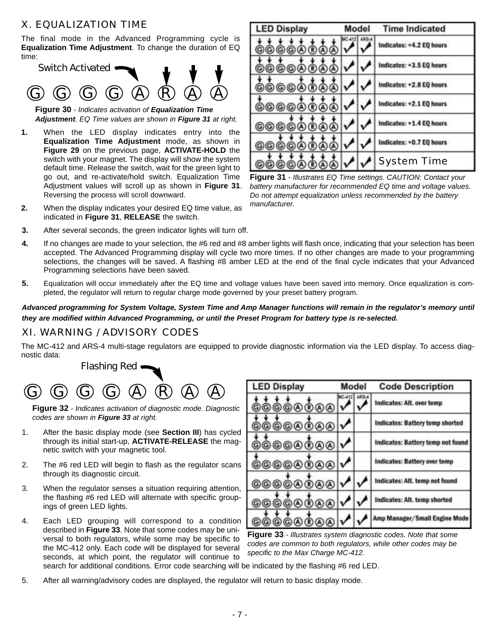### X. EQUALIZATION TIME

The final mode in the Advanced Programming cycle is **Equalization Time Adjustment**. To change the duration of EQ time:



**Figure 30** *- Indicates activation of Equalization Time Adjustment. EQ Time values are shown in Figure 31 at right.*

- **1.** When the LED display indicates entry into the **Equalization Time Adjustment** mode, as shown in **Figure 29** on the previous page, **ACTIVATE-HOLD** the switch with your magnet. The display will show the system default time. Release the switch, wait for the green light to go out, and re-activate/hold switch. Equalization Time Adjustment values will scroll up as shown in **Figure 31**. Reversing the process will scroll downward.
- **2.** When the display indicates your desired EQ time value, as indicated in **Figure 31**, **RELEASE** the switch.

| <b>LED Display</b> | Model | <b>Time Indicated</b>    |
|--------------------|-------|--------------------------|
| ۿۿۿۿۿۿ             | ARS.  | Indicates: +4.2 EQ hours |
| <u>@@@@@@</u> @    |       | Indicates: +3.5 EQ hours |
| @@@@@@@            |       | Indicates: +2.8 EQ hours |
| <b>@@@@@@@</b>     |       | Indicates: +2.1 EQ hours |
| <b>@@@@@@@</b> @   |       | Indicates: +1.4 EQ hours |
| <b>©@®@@</b>       |       | Indicates: +0.7 EQ hours |
|                    |       | <b>System Time</b>       |

**Figure 31** *- Illustrates EQ Time settings. CAUTION: Contact your battery manufacturer for recommended EQ time and voltage values. Do not attempt equalization unless recommended by the battery manufacturer.*

- **3.** After several seconds, the green indicator lights will turn off.
- **4.** If no changes are made to your selection, the #6 red and #8 amber lights will flash once, indicating that your selection has been accepted. The Advanced Programming display will cycle two more times. If no other changes are made to your programming selections, the changes will be saved. A flashing #8 amber LED at the end of the final cycle indicates that your Advanced Programming selections have been saved.
- **5.** Equalization will occur immediately after the EQ time and voltage values have been saved into memory. Once equalization is completed, the regulator will return to regular charge mode governed by your preset battery program.

#### *Advanced programming for System Voltage, System Time and Amp Manager functions will remain in the regulator's memory until they are modified within Advanced Programming, or until the Preset Program for battery type is re-selected.*

#### XI. WARNING / ADVISORY CODES

The MC-412 and ARS-4 multi-stage regulators are equipped to provide diagnostic information via the LED display. To access diagnostic data:



**Figure 32** *- Indicates activation of diagnostic mode. Diagnostic codes are shown in Figure 33 at right.*

- 1. After the basic display mode (see **Section III**) has cycled through its initial start-up, **ACTIVATE-RELEASE** the magnetic switch with your magnetic tool.
- 2. The #6 red LED will begin to flash as the regulator scans through its diagnostic circuit.
- 3. When the regulator senses a situation requiring attention, the flashing #6 red LED will alternate with specific groupings of green LED lights.
- 4. Each LED grouping will correspond to a condition described in **Figure 33**. Note that some codes may be universal to both regulators, while some may be specific to the MC-412 only. Each code will be displayed for several seconds, at which point, the regulator will continue to search for additional conditions. Error code searching will be indicated by the flashing #6 red LED.

| <b>LED Display</b> | Model | <b>Code Description</b>           |
|--------------------|-------|-----------------------------------|
| @@@@@@@@           |       | Indicates: Alt. over temp         |
| 0000000            |       | Indicates: Battery temp shorted   |
| <b>@@@@@@@@</b>    |       | Indicates: Battery temp not found |
| @@@@@@@            |       | Indicates: Battery over temp      |
| ©©©©®®®            |       | Indicates: Alt. temp not found    |
| ©©©©®®®            |       | Indicates: Alt. temp shorted      |
| <b>©©©®®®®</b>     |       | Amp Manager/Small Engine Mode     |

**Figure 33** *- Illustrates system diagnostic codes. Note that some codes are common to both regulators, while other codes may be specific to the Max Charge MC-412.*

- 
- 5. After all warning/advisory codes are displayed, the regulator will return to basic display mode.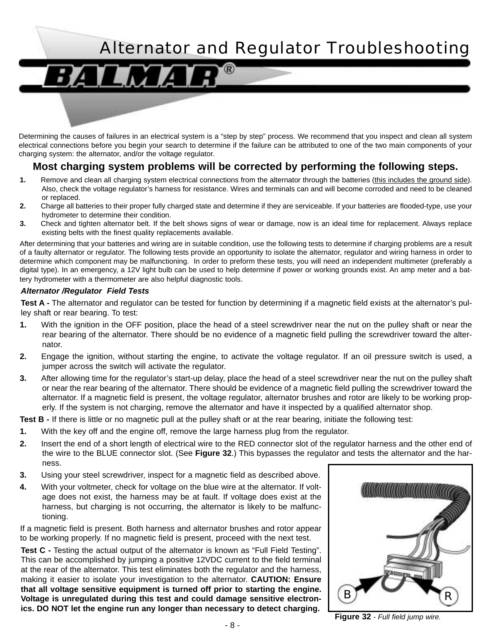# Alternator and Regulator Troubleshooting

Determining the causes of failures in an electrical system is a "step by step" process. We recommend that you inspect and clean all system electrical connections before you begin your search to determine if the failure can be attributed to one of the two main components of your charging system: the alternator, and/or the voltage regulator.

## **Most charging system problems will be corrected by performing the following steps.**

- **1.** Remove and clean all charging system electrical connections from the alternator through the batteries (this includes the ground side). Also, check the voltage regulator's harness for resistance. Wires and terminals can and will become corroded and need to be cleaned or replaced.
- **2.** Charge all batteries to their proper fully charged state and determine if they are serviceable. If your batteries are flooded-type, use your hydrometer to determine their condition.
- **3.** Check and tighten alternator belt. If the belt shows signs of wear or damage, now is an ideal time for replacement. Always replace existing belts with the finest quality replacements available.

After determining that your batteries and wiring are in suitable condition, use the following tests to determine if charging problems are a result of a faulty alternator or regulator. The following tests provide an opportunity to isolate the alternator, regulator and wiring harness in order to determine which component may be malfunctioning. In order to preform these tests, you will need an independent multimeter (preferably a digital type). In an emergency, a 12V light bulb can be used to help determine if power or working grounds exist. An amp meter and a battery hydrometer with a thermometer are also helpful diagnostic tools.

#### *Alternator /Regulator Field Tests*

**Test A -** The alternator and regulator can be tested for function by determining if a magnetic field exists at the alternator's pulley shaft or rear bearing. To test:

- **1.** With the ignition in the OFF position, place the head of a steel screwdriver near the nut on the pulley shaft or near the rear bearing of the alternator. There should be no evidence of a magnetic field pulling the screwdriver toward the alternator.
- **2.** Engage the ignition, without starting the engine, to activate the voltage regulator. If an oil pressure switch is used, a jumper across the switch will activate the regulator.
- **3.** After allowing time for the regulator's start-up delay, place the head of a steel screwdriver near the nut on the pulley shaft or near the rear bearing of the alternator. There should be evidence of a magnetic field pulling the screwdriver toward the alternator. If a magnetic field is present, the voltage regulator, alternator brushes and rotor are likely to be working properly. If the system is not charging, remove the alternator and have it inspected by a qualified alternator shop.

**Test B -** If there is little or no magnetic pull at the pulley shaft or at the rear bearing, initiate the following test:

- **1.** With the key off and the engine off, remove the large harness plug from the regulator.
- **2.** Insert the end of a short length of electrical wire to the RED connector slot of the regulator harness and the other end of the wire to the BLUE connector slot. (See **Figure 32**.) This bypasses the regulator and tests the alternator and the harness.
- **3.** Using your steel screwdriver, inspect for a magnetic field as described above.
- **4.** With your voltmeter, check for voltage on the blue wire at the alternator. If voltage does not exist, the harness may be at fault. If voltage does exist at the harness, but charging is not occurring, the alternator is likely to be malfunctioning.

If a magnetic field is present. Both harness and alternator brushes and rotor appear to be working properly. If no magnetic field is present, proceed with the next test.

**Test C -** Testing the actual output of the alternator is known as "Full Field Testing". This can be accomplished by jumping a positive 12VDC current to the field terminal at the rear of the alternator. This test eliminates both the regulator and the harness, making it easier to isolate your investigation to the alternator. **CAUTION: Ensure that all voltage sensitive equipment is turned off prior to starting the engine. Voltage is unregulated during this test and could damage sensitive electronics. DO NOT let the engine run any longer than necessary to detect charging.**



**Figure 32** *- Full field jump wire.*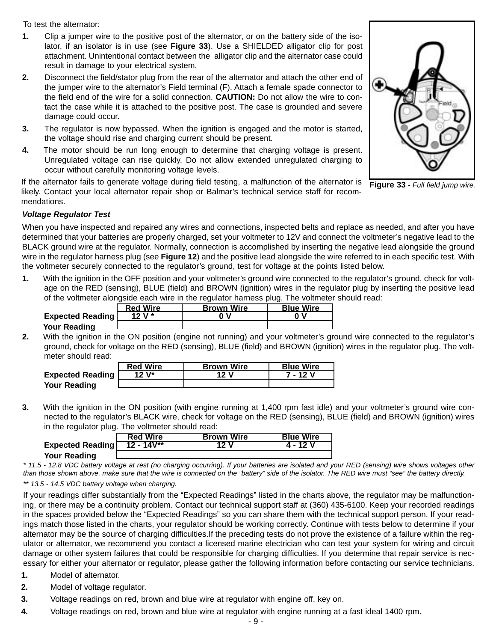To test the alternator:

- **1.** Clip a jumper wire to the positive post of the alternator, or on the battery side of the isolator, if an isolator is in use (see **Figure 33**). Use a SHIELDED alligator clip for post attachment. Unintentional contact between the alligator clip and the alternator case could result in damage to your electrical system.
- **2.** Disconnect the field/stator plug from the rear of the alternator and attach the other end of the jumper wire to the alternator's Field terminal (F). Attach a female spade connector to the field end of the wire for a solid connection. **CAUTION:** Do not allow the wire to contact the case while it is attached to the positive post. The case is grounded and severe damage could occur.
- **3.** The regulator is now bypassed. When the ignition is engaged and the motor is started, the voltage should rise and charging current should be present.
- **4.** The motor should be run long enough to determine that charging voltage is present. Unregulated voltage can rise quickly. Do not allow extended unregulated charging to occur without carefully monitoring voltage levels.

If the alternator fails to generate voltage during field testing, a malfunction of the alternator is likely. Contact your local alternator repair shop or Balmar's technical service staff for recommendations.



**Figure 33** *- Full field jump wire.*

#### *Voltage Regulator Test*

When you have inspected and repaired any wires and connections, inspected belts and replace as needed, and after you have determined that your batteries are properly charged, set your voltmeter to 12V and connect the voltmeter's negative lead to the BLACK ground wire at the regulator. Normally, connection is accomplished by inserting the negative lead alongside the ground wire in the regulator harness plug (see **Figure 12**) and the positive lead alongside the wire referred to in each specific test. With the voltmeter securely connected to the regulator's ground, test for voltage at the points listed below.

**1.** With the ignition in the OFF position and your voltmeter's ground wire connected to the regulator's ground, check for voltage on the RED (sensing), BLUE (field) and BROWN (ignition) wires in the regulator plug by inserting the positive lead of the voltmeter alongside each wire in the regulator harness plug. The voltmeter should read:

|                         | <b>Red Wire</b> | <b>Brown Wire</b> | <b>Blue Wire</b> |
|-------------------------|-----------------|-------------------|------------------|
| <b>Expected Reading</b> | 12 V $*$        | n v               | 0                |
| Your Reading            |                 |                   |                  |
|                         |                 |                   |                  |

**2.** With the ignition in the ON position (engine not running) and your voltmeter's ground wire connected to the regulator's ground, check for voltage on the RED (sensing), BLUE (field) and BROWN (ignition) wires in the regulator plug. The voltmeter should read:

|                         | <b>Red Wire</b> | <b>Brown Wire</b> | <b>Blue Wire</b> |
|-------------------------|-----------------|-------------------|------------------|
| <b>Expected Reading</b> | 12 V*           | 12 V              | 7 - 12 V         |
| <b>Your Reading</b>     |                 |                   |                  |

**3.** With the ignition in the ON position (with engine running at 1,400 rpm fast idle) and your voltmeter's ground wire connected to the regulator's BLACK wire, check for voltage on the RED (sensing), BLUE (field) and BROWN (ignition) wires in the regulator plug. The voltmeter should read:

|                  | <b>Red Wire</b> | <b>Brown Wire</b> | <b>Blue Wire</b> |
|------------------|-----------------|-------------------|------------------|
| Expected Reading | $12 - 14V^{**}$ | 12 V              | 4 - 12 V         |
| Your Reading     |                 |                   |                  |

*\* 11.5 - 12.8 VDC battery voltage at rest (no charging occurring). If your batteries are isolated and your RED (sensing) wire shows voltages other than those shown above, make sure that the wire is connected on the "battery" side of the isolator. The RED wire must "see" the battery directly. \*\* 13.5 - 14.5 VDC battery voltage when charging.*

If your readings differ substantially from the "Expected Readings" listed in the charts above, the regulator may be malfunctioning, or there may be a continuity problem. Contact our technical support staff at (360) 435-6100. Keep your recorded readings in the spaces provided below the "Expected Readings" so you can share them with the technical support person. If your readings match those listed in the charts, your regulator should be working correctly. Continue with tests below to determine if your alternator may be the source of charging difficulties.If the preceding tests do not prove the existence of a failure within the regulator or alternator, we recommend you contact a licensed marine electrician who can test your system for wiring and circuit damage or other system failures that could be responsible for charging difficulties. If you determine that repair service is necessary for either your alternator or regulator, please gather the following information before contacting our service technicians.

- **1.** Model of alternator.
- **2.** Model of voltage regulator.
- **3.** Voltage readings on red, brown and blue wire at regulator with engine off, key on.
- **4.** Voltage readings on red, brown and blue wire at regulator with engine running at a fast ideal 1400 rpm.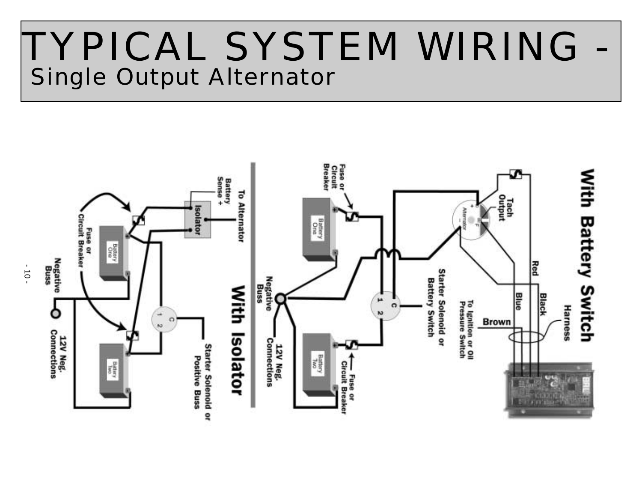# TYPICAL SYSTEM WIRING - Single Output Alternator



 $-10 -$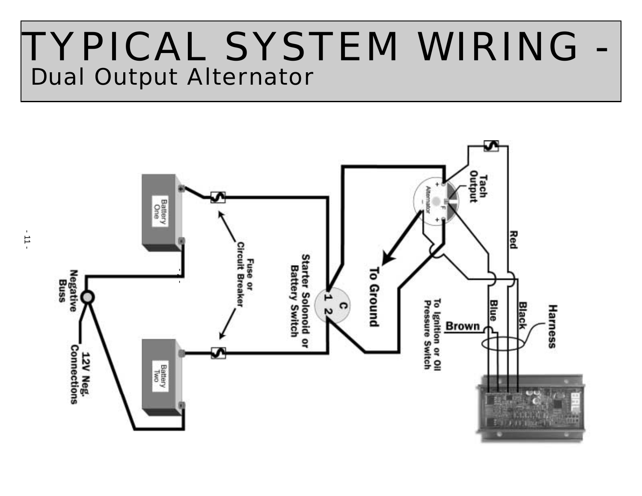# TYPICAL SYSTEM WIRING - Dual Output Alternator